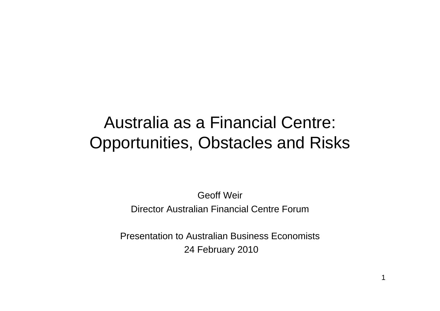# Australia as a Financial Centre: Opportunities, Obstacles and Risks

Geoff WeirDirector Australian Financial Centre Forum

Presentation to Australian Business Economists24 February 2010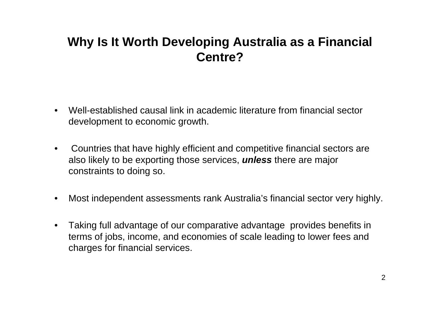### **Why Is It Worth Developing Australia as a Financial Centre?**

- $\bullet$  Well-established causal link in academic literature from financial sector development to economic growth.
- $\bullet$  Countries that have highly efficient and competitive financial sectors are also likely to be exporting those services, *unless* there are major constraints to doing so.
- $\bullet$ Most independent assessments rank Australia's financial sector very highly.
- $\bullet$  Taking full advantage of our comparative advantage provides benefits in terms of jobs, income, and economies of scale leading to lower fees and charges for financial services.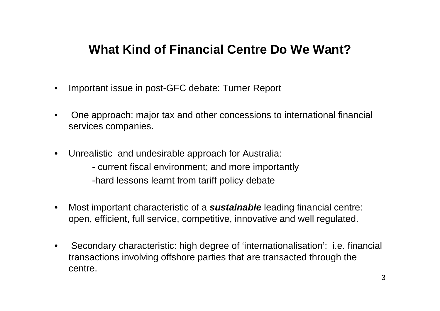### **What Kind of Financial Centre Do We Want?**

- •Important issue in post-GFC debate: Turner Report
- • One approach: major tax and other concessions to international financial services companies.
- $\bullet$  Unrealistic and undesirable approach for Australia:
	- current fiscal environment; and more importantly -hard lessons learnt from tariff policy debate
- $\bullet$  Most important characteristic of a *sustainable* leading financial centre: open, efficient, full service, competitive, innovative and well regulated.
- • Secondary characteristic: high degree of 'internationalisation': i.e. financial transactions involving offshore parties that are transacted through the centre.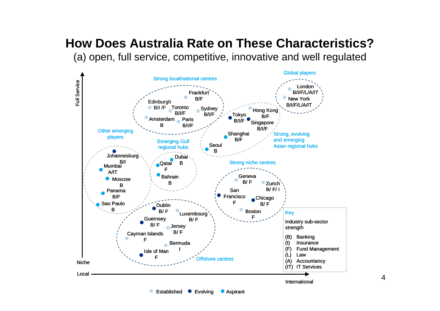# **How Does Australia Rate on These Characteristics?**

(a) open, full service, competitive, innovative and well regulated



4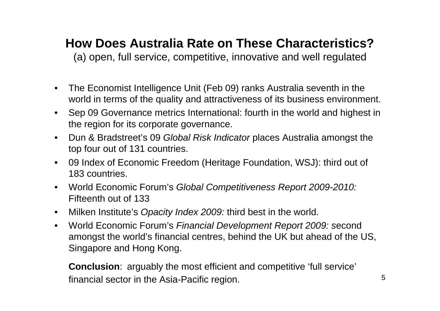## **How Does Australia Rate on These Characteristics?**

(a) open, full service, competitive, innovative and well regulated

- $\bullet$  The Economist Intelligence Unit (Feb 09) ranks Australia seventh in the world in terms of the quality and attractiveness of its business environment.
- $\bullet$  Sep 09 Governance metrics International: fourth in the world and highest in the region for its corporate governance.
- $\bullet$  Dun & Bradstreet's 09 *Global Risk Indicator* places Australia amongst the top four out of 131 countries.
- $\bullet$  09 Index of Economic Freedom (Heritage Foundation, WSJ): third out of 183 countries.
- World Economic Forum's *Global Competitiveness Report 2009-2010:*  Fifteenth out of 133
- Milken Institute's *Opacity Index 2009:* third best in the world.
- • World Economic Forum's *Financial Development Report 2009: s*econd amongst the world's financial centres, behind the UK but ahead of the US, Singapore and Hong Kong.

**Conclusion**: arguably the most efficient and competitive 'full service' financial sector in the Asia-Pacific region.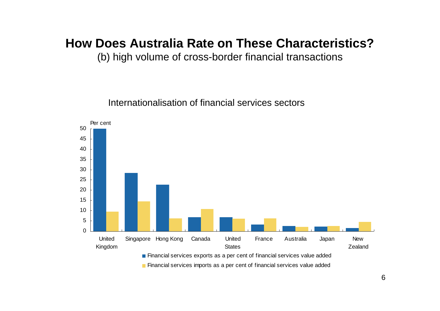### **How Does Australia Rate on These Characteristics?**

(b) high volume of cross-border financial transactions

Internationalisation of financial services sectors



**Financial services imports as a per cent of financial services value added**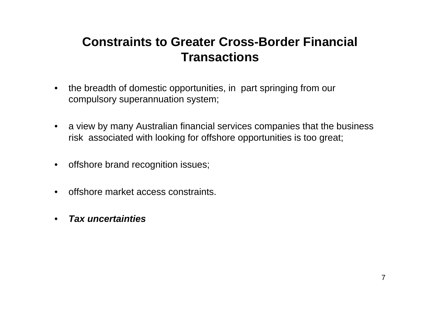## **Constraints to Greater Cross-Border Financial Transactions**

- $\bullet$  the breadth of domestic opportunities, in part springing from our compulsory superannuation system;
- a view by many Australian financial services companies that the business risk associated with looking for offshore opportunities is too great;
- offshore brand recognition issues;
- $\bullet$ offshore market access constraints.
- •*Tax uncertainties*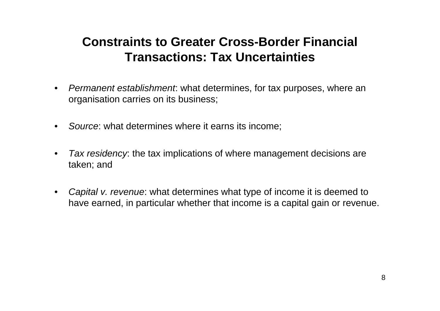## **Constraints to Greater Cross-Border Financial Transactions: Tax Uncertainties**

- $\bullet$  *Permanent establishment*: what determines, for tax purposes, where an organisation carries on its business;
- $\bullet$ *Source*: what determines where it earns its income;
- $\bullet$  *Tax residency*: the tax implications of where management decisions are taken; and
- $\bullet$  *Capital v. revenue*: what determines what type of income it is deemed to have earned, in particular whether that income is a capital gain or revenue.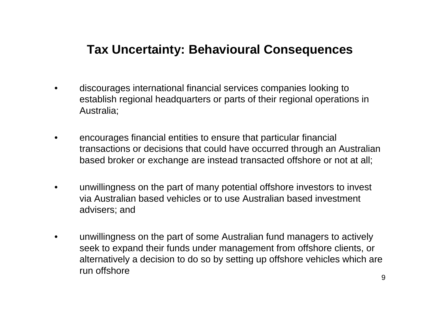### **Tax Uncertainty: Behavioural Consequences**

- • discourages international financial services companies looking to establish regional headquarters or parts of their regional operations in Australia;
- • encourages financial entities to ensure that particular financial transactions or decisions that could have occurred through an Australian based broker or exchange are instead transacted offshore or not at all;
- • unwillingness on the part of many potential offshore investors to invest via Australian based vehicles or to use Australian based investment advisers; and
- $\bullet$  unwillingness on the part of some Australian fund managers to actively seek to expand their funds under management from offshore clients, or alternatively a decision to do so by setting up offshore vehicles which are run offshore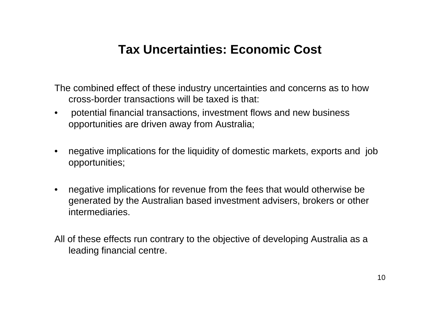### **Tax Uncertainties: Economic Cost**

The combined effect of these industry uncertainties and concerns as to how cross-border transactions will be taxed is that:

- • potential financial transactions, investment flows and new business opportunities are driven away from Australia;
- $\bullet$  negative implications for the liquidity of domestic markets, exports and job opportunities;
- • negative implications for revenue from the fees that would otherwise be generated by the Australian based investment advisers, brokers or other intermediaries.
- All of these effects run contrary to the objective of developing Australia as a leading financial centre.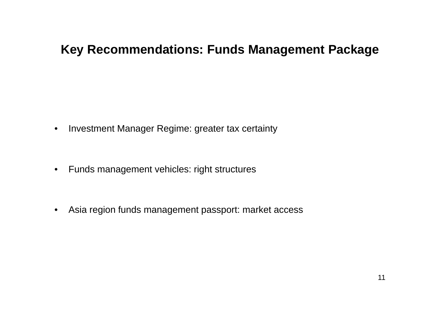### **Key Recommendations: Funds Management Package**

- $\bullet$ Investment Manager Regime: greater tax certainty
- Funds management vehicles: right structures
- Asia region funds management passport: market access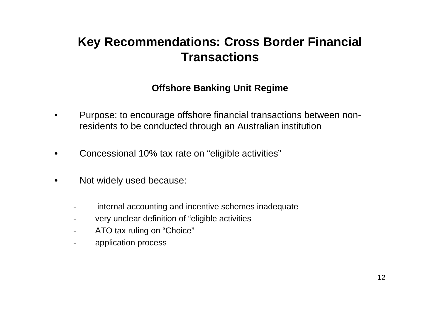### **Key Recommendations: Cross Border Financial Transactions**

#### **Offshore Banking Unit Regime**

- $\bullet$  Purpose: to encourage offshore financial transactions between nonresidents to be conducted through an Australian institution
- •Concessional 10% tax rate on "eligible activities"
- • Not widely used because:
	- internal accounting and incentive schemes inadequate
	- very unclear definition of "eligible activities
	- -ATO tax ruling on "Choice"
	- application process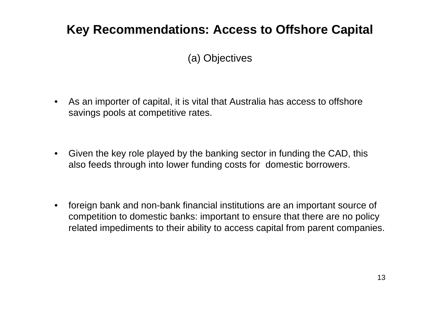## **Key Recommendations: Access to Offshore Capital**

### (a) Objectives

- $\bullet$  As an importer of capital, it is vital that Australia has access to offshore savings pools at competitive rates.
- $\bullet$  Given the key role played by the banking sector in funding the CAD, this also feeds through into lower funding costs for domestic borrowers.
- • foreign bank and non-bank financial institutions are an important source of competition to domestic banks: important to ensure that there are no policy related impediments to their ability to access capital from parent companies.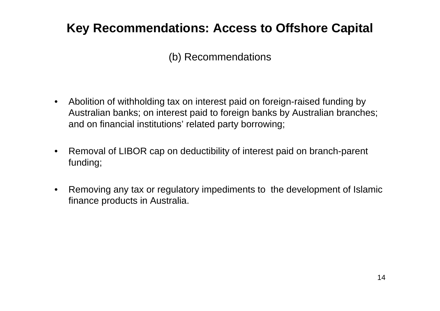# **Key Recommendations: Access to Offshore Capital**

### (b) Recommendations

- $\bullet$  Abolition of withholding tax on interest paid on foreign-raised funding by Australian banks; on interest paid to foreign banks by Australian branches; and on financial institutions' related party borrowing;
- $\bullet$  Removal of LIBOR cap on deductibility of interest paid on branch-parent funding;
- $\bullet$  Removing any tax or regulatory impediments to the development of Islamic finance products in Australia.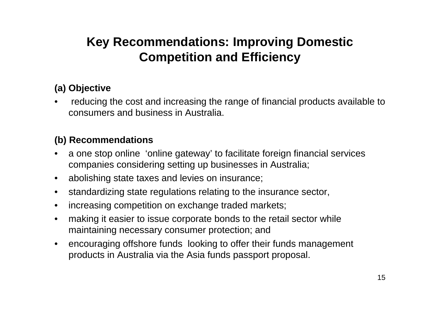# **Key Recommendations: Improving Domestic Competition and Efficiency**

#### **(a) Objective**

• reducing the cost and increasing the range of financial products available to consumers and business in Australia.

#### **(b) Recommendations**

- • a one stop online 'online gateway' to facilitate foreign financial services companies considering setting up businesses in Australia;
- abolishing state taxes and levies on insurance;
- $\bullet$ standardizing state regulations relating to the insurance sector,
- $\bullet$ increasing competition on exchange traded markets;
- $\bullet$  making it easier to issue corporate bonds to the retail sector while maintaining necessary consumer protection; and
- $\bullet$  encouraging offshore funds looking to offer their funds management products in Australia via the Asia funds passport proposal.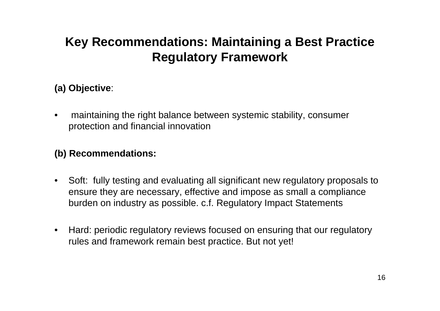# **Key Recommendations: Maintaining a Best Practice Regulatory Framework**

#### **(a) Objective**:

• maintaining the right balance between systemic stability, consumer protection and financial innovation

### **(b) Recommendations:**

- Soft: fully testing and evaluating all significant new regulatory proposals to ensure they are necessary, effective and impose as small a compliance burden on industry as possible. c.f. Regulatory Impact Statements
- Hard: periodic regulatory reviews focused on ensuring that our regulatory rules and framework remain best practice. But not yet!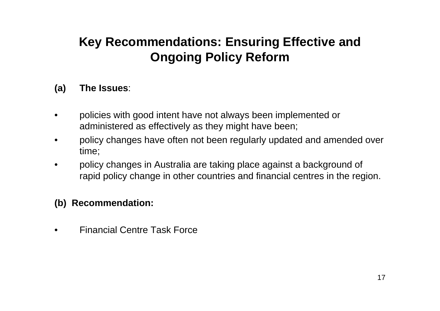# **Key Recommendations: Ensuring Effective and Ongoing Policy Reform**

#### **(a) The Issues**:

- • policies with good intent have not always been implemented or administered as effectively as they might have been;
- • policy changes have often not been regularly updated and amended over time;
- • policy changes in Australia are taking place against a background of rapid policy change in other countries and financial centres in the region.

### **(b) Recommendation:**

•Financial Centre Task Force